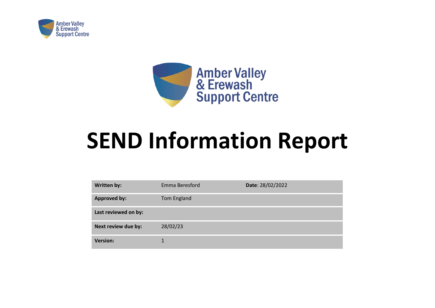



## **SEND Information Report**

| <b>Written by:</b>   | Emma Beresford | Date: 28/02/2022 |
|----------------------|----------------|------------------|
| <b>Approved by:</b>  | Tom England    |                  |
| Last reviewed on by: |                |                  |
| Next review due by:  | 28/02/23       |                  |
| <b>Version:</b>      | $\mathbf 1$    |                  |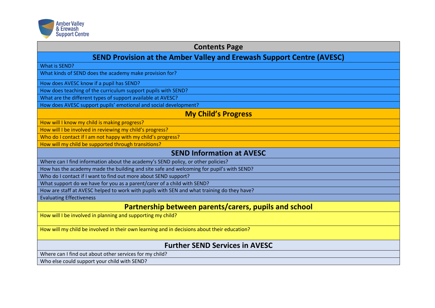

| <b>Contents Page</b>                                                                        |
|---------------------------------------------------------------------------------------------|
| <b>SEND Provision at the Amber Valley and Erewash Support Centre (AVESC)</b>                |
| What is SEND?                                                                               |
| What kinds of SEND does the academy make provision for?                                     |
| How does AVESC know if a pupil has SEND?                                                    |
| How does teaching of the curriculum support pupils with SEND?                               |
| What are the different types of support available at AVESC?                                 |
| How does AVESC support pupils' emotional and social development?                            |
| <b>My Child's Progress</b>                                                                  |
| How will I know my child is making progress?                                                |
| How will I be involved in reviewing my child's progress?                                    |
| Who do I contact if I am not happy with my child's progress?                                |
| How will my child be supported through transitions?                                         |
| <b>SEND Information at AVESC</b>                                                            |
| Where can I find information about the academy's SEND policy, or other policies?            |
| How has the academy made the building and site safe and welcoming for pupil's with SEND?    |
| Who do I contact if I want to find out more about SEND support?                             |
| What support do we have for you as a parent/carer of a child with SEND?                     |
| How are staff at AVESC helped to work with pupils with SEN and what training do they have?  |
| <b>Evaluating Effectiveness</b>                                                             |
| Partnership between parents/carers, pupils and school                                       |
| How will I be involved in planning and supporting my child?                                 |
| How will my child be involved in their own learning and in decisions about their education? |
| <b>Further SEND Services in AVESC</b>                                                       |
| Where can I find out about other services for my child?                                     |
| Who else could support your child with SEND?                                                |
|                                                                                             |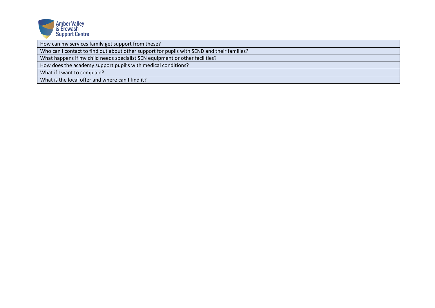

How can my services family get support from these?

Who can I contact to find out about other support for pupils with SEND and their families?

What happens if my child needs specialist SEN equipment or other facilities?

How does the academy support pupil's with medical conditions?

What if I want to complain?

What is the local offer and where can I find it?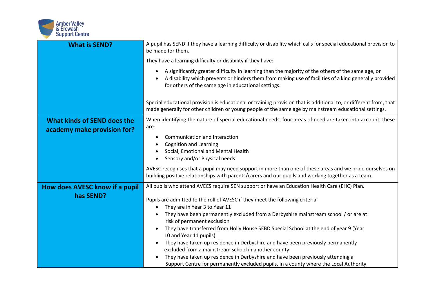

| <b>What is SEND?</b>                                       | A pupil has SEND if they have a learning difficulty or disability which calls for special educational provision to<br>be made for them.                                                                                                                                                                                                                                                                                                                                                                                                                                              |
|------------------------------------------------------------|--------------------------------------------------------------------------------------------------------------------------------------------------------------------------------------------------------------------------------------------------------------------------------------------------------------------------------------------------------------------------------------------------------------------------------------------------------------------------------------------------------------------------------------------------------------------------------------|
|                                                            | They have a learning difficulty or disability if they have:                                                                                                                                                                                                                                                                                                                                                                                                                                                                                                                          |
|                                                            | A significantly greater difficulty in learning than the majority of the others of the same age, or<br>A disability which prevents or hinders them from making use of facilities of a kind generally provided<br>for others of the same age in educational settings.                                                                                                                                                                                                                                                                                                                  |
|                                                            | Special educational provision is educational or training provision that is additional to, or different from, that<br>made generally for other children or young people of the same age by mainstream educational settings.                                                                                                                                                                                                                                                                                                                                                           |
| What kinds of SEND does the<br>academy make provision for? | When identifying the nature of special educational needs, four areas of need are taken into account, these<br>are:                                                                                                                                                                                                                                                                                                                                                                                                                                                                   |
|                                                            | Communication and Interaction                                                                                                                                                                                                                                                                                                                                                                                                                                                                                                                                                        |
|                                                            | <b>Cognition and Learning</b><br>Social, Emotional and Mental Health                                                                                                                                                                                                                                                                                                                                                                                                                                                                                                                 |
|                                                            | Sensory and/or Physical needs                                                                                                                                                                                                                                                                                                                                                                                                                                                                                                                                                        |
|                                                            | AVESC recognises that a pupil may need support in more than one of these areas and we pride ourselves on<br>building positive relationships with parents/carers and our pupils and working together as a team.                                                                                                                                                                                                                                                                                                                                                                       |
| How does AVESC know if a pupil                             | All pupils who attend AVECS require SEN support or have an Education Health Care (EHC) Plan.                                                                                                                                                                                                                                                                                                                                                                                                                                                                                         |
| has SEND?                                                  | Pupils are admitted to the roll of AVESC if they meet the following criteria:<br>They are in Year 3 to Year 11<br>They have been permanently excluded from a Derbyshire mainstream school / or are at<br>risk of permanent exclusion<br>They have transferred from Holly House SEBD Special School at the end of year 9 (Year<br>10 and Year 11 pupils)<br>They have taken up residence in Derbyshire and have been previously permanently<br>excluded from a mainstream school in another county<br>They have taken up residence in Derbyshire and have been previously attending a |
|                                                            | Support Centre for permanently excluded pupils, in a county where the Local Authority                                                                                                                                                                                                                                                                                                                                                                                                                                                                                                |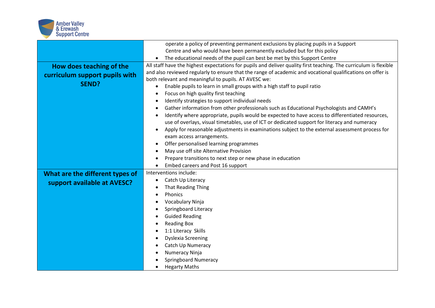

|                                 | operate a policy of preventing permanent exclusions by placing pupils in a Support                                |
|---------------------------------|-------------------------------------------------------------------------------------------------------------------|
|                                 | Centre and who would have been permanently excluded but for this policy                                           |
|                                 | The educational needs of the pupil can best be met by this Support Centre                                         |
| How does teaching of the        | All staff have the highest expectations for pupils and deliver quality first teaching. The curriculum is flexible |
| curriculum support pupils with  | and also reviewed regularly to ensure that the range of academic and vocational qualifications on offer is        |
| <b>SEND?</b>                    | both relevant and meaningful to pupils. AT AVESC we:                                                              |
|                                 | Enable pupils to learn in small groups with a high staff to pupil ratio<br>٠                                      |
|                                 | Focus on high quality first teaching<br>$\bullet$                                                                 |
|                                 | Identify strategies to support individual needs<br>٠                                                              |
|                                 | Gather information from other professionals such as Educational Psychologists and CAMH's<br>٠                     |
|                                 | Identify where appropriate, pupils would be expected to have access to differentiated resources,<br>$\bullet$     |
|                                 | use of overlays, visual timetables, use of ICT or dedicated support for literacy and numeracy                     |
|                                 | Apply for reasonable adjustments in examinations subject to the external assessment process for<br>٠              |
|                                 | exam access arrangements.                                                                                         |
|                                 | Offer personalised learning programmes<br>$\bullet$                                                               |
|                                 | May use off site Alternative Provision<br>٠                                                                       |
|                                 | Prepare transitions to next step or new phase in education<br>٠                                                   |
|                                 | Embed careers and Post 16 support<br>$\bullet$                                                                    |
| What are the different types of | Interventions include:                                                                                            |
| support available at AVESC?     | Catch Up Literacy<br>$\bullet$                                                                                    |
|                                 | That Reading Thing<br>٠                                                                                           |
|                                 | Phonics<br>$\bullet$                                                                                              |
|                                 | Vocabulary Ninja                                                                                                  |
|                                 | Springboard Literacy                                                                                              |
|                                 | <b>Guided Reading</b>                                                                                             |
|                                 | <b>Reading Box</b>                                                                                                |
|                                 | 1:1 Literacy Skills<br>$\bullet$                                                                                  |
|                                 | <b>Dyslexia Screening</b><br>٠                                                                                    |
|                                 | Catch Up Numeracy                                                                                                 |
|                                 | Numeracy Ninja                                                                                                    |
|                                 | <b>Springboard Numeracy</b>                                                                                       |
|                                 | <b>Hegarty Maths</b>                                                                                              |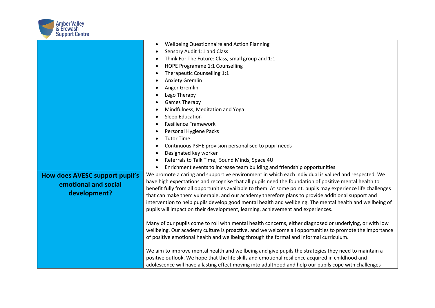

|                                | Wellbeing Questionnaire and Action Planning<br>$\bullet$                                                     |
|--------------------------------|--------------------------------------------------------------------------------------------------------------|
|                                | Sensory Audit 1:1 and Class<br>٠                                                                             |
|                                | Think For The Future: Class, small group and 1:1                                                             |
|                                | HOPE Programme 1:1 Counselling                                                                               |
|                                | Therapeutic Counselling 1:1<br>٠                                                                             |
|                                | <b>Anxiety Gremlin</b>                                                                                       |
|                                | Anger Gremlin                                                                                                |
|                                | Lego Therapy                                                                                                 |
|                                | <b>Games Therapy</b>                                                                                         |
|                                | Mindfulness, Meditation and Yoga                                                                             |
|                                | <b>Sleep Education</b>                                                                                       |
|                                | <b>Resilience Framework</b>                                                                                  |
|                                | Personal Hygiene Packs<br>٠                                                                                  |
|                                | <b>Tutor Time</b><br>٠                                                                                       |
|                                | Continuous PSHE provision personalised to pupil needs<br>٠                                                   |
|                                | Designated key worker<br>$\bullet$                                                                           |
|                                | Referrals to Talk Time, Sound Minds, Space 4U<br>$\bullet$                                                   |
|                                | Enrichment events to increase team building and friendship opportunities<br>$\bullet$                        |
| How does AVESC support pupil's | We promote a caring and supportive environment in which each individual is valued and respected. We          |
| emotional and social           | have high expectations and recognise that all pupils need the foundation of positive mental health to        |
|                                | benefit fully from all opportunities available to them. At some point, pupils may experience life challenges |
| development?                   | that can make them vulnerable, and our academy therefore plans to provide additional support and             |
|                                | intervention to help pupils develop good mental health and wellbeing. The mental health and wellbeing of     |
|                                | pupils will impact on their development, learning, achievement and experiences.                              |
|                                |                                                                                                              |
|                                | Many of our pupils come to roll with mental health concerns, either diagnosed or underlying, or with low     |
|                                | wellbeing. Our academy culture is proactive, and we welcome all opportunities to promote the importance      |
|                                | of positive emotional health and wellbeing through the formal and informal curriculum.                       |
|                                | We aim to improve mental health and wellbeing and give pupils the strategies they need to maintain a         |
|                                | positive outlook. We hope that the life skills and emotional resilience acquired in childhood and            |
|                                | adolescence will have a lasting effect moving into adulthood and help our pupils cope with challenges        |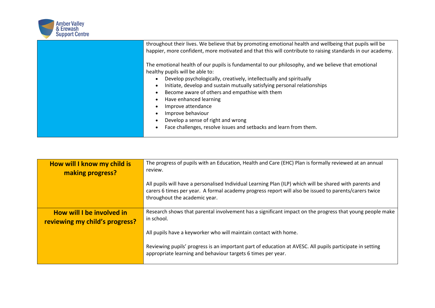

| throughout their lives. We believe that by promoting emotional health and wellbeing that pupils will be<br>happier, more confident, more motivated and that this will contribute to raising standards in our academy.<br>The emotional health of our pupils is fundamental to our philosophy, and we believe that emotional<br>healthy pupils will be able to:<br>Develop psychologically, creatively, intellectually and spiritually<br>Initiate, develop and sustain mutually satisfying personal relationships<br>Become aware of others and empathise with them<br>Have enhanced learning<br>Improve attendance |
|---------------------------------------------------------------------------------------------------------------------------------------------------------------------------------------------------------------------------------------------------------------------------------------------------------------------------------------------------------------------------------------------------------------------------------------------------------------------------------------------------------------------------------------------------------------------------------------------------------------------|
| Improve behaviour<br>Develop a sense of right and wrong                                                                                                                                                                                                                                                                                                                                                                                                                                                                                                                                                             |
| Face challenges, resolve issues and setbacks and learn from them.                                                                                                                                                                                                                                                                                                                                                                                                                                                                                                                                                   |
|                                                                                                                                                                                                                                                                                                                                                                                                                                                                                                                                                                                                                     |

| How will I know my child is<br>making progress?             | The progress of pupils with an Education, Health and Care (EHC) Plan is formally reviewed at an annual<br>review.                                                                                                                                  |
|-------------------------------------------------------------|----------------------------------------------------------------------------------------------------------------------------------------------------------------------------------------------------------------------------------------------------|
|                                                             | All pupils will have a personalised Individual Learning Plan (ILP) which will be shared with parents and<br>carers 6 times per year. A formal academy progress report will also be issued to parents/carers twice<br>throughout the academic year. |
| How will I be involved in<br>reviewing my child's progress? | Research shows that parental involvement has a significant impact on the progress that young people make<br>in school.                                                                                                                             |
|                                                             | All pupils have a keyworker who will maintain contact with home.                                                                                                                                                                                   |
|                                                             | Reviewing pupils' progress is an important part of education at AVESC. All pupils participate in setting<br>appropriate learning and behaviour targets 6 times per year.                                                                           |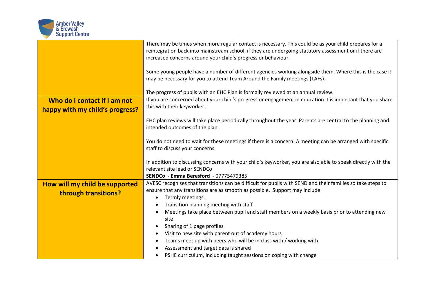

|                                                                 | There may be times when more regular contact is necessary. This could be as your child prepares for a<br>reintegration back into mainstream school, if they are undergoing statutory assessment or if there are<br>increased concerns around your child's progress or behaviour. |
|-----------------------------------------------------------------|----------------------------------------------------------------------------------------------------------------------------------------------------------------------------------------------------------------------------------------------------------------------------------|
|                                                                 | Some young people have a number of different agencies working alongside them. Where this is the case it<br>may be necessary for you to attend Team Around the Family meetings (TAFs).                                                                                            |
|                                                                 | The progress of pupils with an EHC Plan is formally reviewed at an annual review.                                                                                                                                                                                                |
| Who do I contact if I am not<br>happy with my child's progress? | If you are concerned about your child's progress or engagement in education it is important that you share<br>this with their keyworker.                                                                                                                                         |
|                                                                 | EHC plan reviews will take place periodically throughout the year. Parents are central to the planning and<br>intended outcomes of the plan.                                                                                                                                     |
|                                                                 | You do not need to wait for these meetings if there is a concern. A meeting can be arranged with specific<br>staff to discuss your concerns.                                                                                                                                     |
|                                                                 | In addition to discussing concerns with your child's keyworker, you are also able to speak directly with the<br>relevant site lead or SENDCo<br><b>SENDCo - Emma Beresford - 07775479385</b>                                                                                     |
| How will my child be supported                                  | AVESC recognises that transitions can be difficult for pupils with SEND and their families so take steps to                                                                                                                                                                      |
|                                                                 | ensure that any transitions are as smooth as possible. Support may include:                                                                                                                                                                                                      |
| through transitions?                                            | Termly meetings.<br>$\bullet$                                                                                                                                                                                                                                                    |
|                                                                 | Transition planning meeting with staff<br>٠                                                                                                                                                                                                                                      |
|                                                                 | Meetings take place between pupil and staff members on a weekly basis prior to attending new<br>$\bullet$                                                                                                                                                                        |
|                                                                 | site                                                                                                                                                                                                                                                                             |
|                                                                 | Sharing of 1 page profiles<br>$\bullet$                                                                                                                                                                                                                                          |
|                                                                 | Visit to new site with parent out of academy hours<br>٠                                                                                                                                                                                                                          |
|                                                                 | Teams meet up with peers who will be in class with / working with.                                                                                                                                                                                                               |
|                                                                 | Assessment and target data is shared<br>PSHE curriculum, including taught sessions on coping with change                                                                                                                                                                         |
|                                                                 |                                                                                                                                                                                                                                                                                  |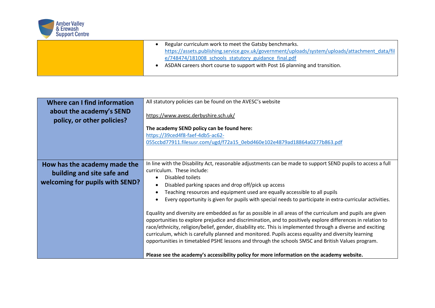

| Regular curriculum work to meet the Gatsby benchmarks.                                          |
|-------------------------------------------------------------------------------------------------|
| https://assets.publishing.service.gov.uk/government/uploads/system/uploads/attachment_data/fil_ |
| e/748474/181008 schools statutory guidance final.pdf                                            |
| ASDAN careers short course to support with Post 16 planning and transition.                     |
|                                                                                                 |

| Where can I find information                                                                  | All statutory policies can be found on the AVESC's website                                                                                                                                                                                                                                                                                                                                                                                                                                                                                           |
|-----------------------------------------------------------------------------------------------|------------------------------------------------------------------------------------------------------------------------------------------------------------------------------------------------------------------------------------------------------------------------------------------------------------------------------------------------------------------------------------------------------------------------------------------------------------------------------------------------------------------------------------------------------|
| about the academy's SEND<br>policy, or other policies?                                        | https://www.avesc.derbyshire.sch.uk/                                                                                                                                                                                                                                                                                                                                                                                                                                                                                                                 |
|                                                                                               | The academy SEND policy can be found here:                                                                                                                                                                                                                                                                                                                                                                                                                                                                                                           |
|                                                                                               | https://39ced4f8-faef-4db5-ac62-<br>055ccbd77911.filesusr.com/ugd/f72a15_0ebd460e102e4879ad18864a0277b863.pdf                                                                                                                                                                                                                                                                                                                                                                                                                                        |
|                                                                                               |                                                                                                                                                                                                                                                                                                                                                                                                                                                                                                                                                      |
| How has the academy made the<br>building and site safe and<br>welcoming for pupils with SEND? | In line with the Disability Act, reasonable adjustments can be made to support SEND pupils to access a full<br>curriculum. These include:<br>Disabled toilets<br>$\bullet$<br>Disabled parking spaces and drop off/pick up access<br>$\bullet$<br>Teaching resources and equipment used are equally accessible to all pupils<br>$\bullet$<br>Every opportunity is given for pupils with special needs to participate in extra-curricular activities.<br>$\bullet$                                                                                    |
|                                                                                               | Equality and diversity are embedded as far as possible in all areas of the curriculum and pupils are given<br>opportunities to explore prejudice and discrimination, and to positively explore differences in relation to<br>race/ethnicity, religion/belief, gender, disability etc. This is implemented through a diverse and exciting<br>curriculum, which is carefully planned and monitored. Pupils access equality and diversity learning<br>opportunities in timetabled PSHE lessons and through the schools SMSC and British Values program. |
|                                                                                               | Please see the academy's accessibility policy for more information on the academy website.                                                                                                                                                                                                                                                                                                                                                                                                                                                           |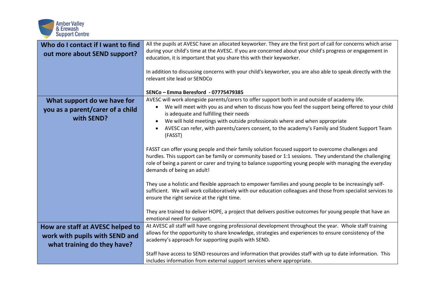

| Who do I contact if I want to find<br>out more about SEND support?            | All the pupils at AVESC have an allocated keyworker. They are the first port of call for concerns which arise<br>during your child's time at the AVESC. If you are concerned about your child's progress or engagement in<br>education, it is important that you share this with their keyworker.<br>In addition to discussing concerns with your child's keyworker, you are also able to speak directly with the<br>relevant site lead or SENDCo<br>SENCo - Emma Beresford - 07775479385 |
|-------------------------------------------------------------------------------|-------------------------------------------------------------------------------------------------------------------------------------------------------------------------------------------------------------------------------------------------------------------------------------------------------------------------------------------------------------------------------------------------------------------------------------------------------------------------------------------|
| What support do we have for<br>you as a parent/carer of a child<br>with SEND? | AVESC will work alongside parents/carers to offer support both in and outside of academy life.<br>We will meet with you as and when to discuss how you feel the support being offered to your child<br>is adequate and fulfilling their needs                                                                                                                                                                                                                                             |
|                                                                               | We will hold meetings with outside professionals where and when appropriate<br>AVESC can refer, with parents/carers consent, to the academy's Family and Student Support Team<br>(FASST)                                                                                                                                                                                                                                                                                                  |
|                                                                               | FASST can offer young people and their family solution focused support to overcome challenges and<br>hurdles. This support can be family or community based or 1:1 sessions. They understand the challenging<br>role of being a parent or carer and trying to balance supporting young people with managing the everyday<br>demands of being an adult!                                                                                                                                    |
|                                                                               | They use a holistic and flexible approach to empower families and young people to be increasingly self-<br>sufficient. We will work collaboratively with our education colleagues and those from specialist services to<br>ensure the right service at the right time.                                                                                                                                                                                                                    |
|                                                                               | They are trained to deliver HOPE, a project that delivers positive outcomes for young people that have an<br>emotional need for support.                                                                                                                                                                                                                                                                                                                                                  |
| How are staff at AVESC helped to                                              | At AVESC all staff will have ongoing professional development throughout the year. Whole staff training                                                                                                                                                                                                                                                                                                                                                                                   |
| work with pupils with SEND and                                                | allows for the opportunity to share knowledge, strategies and experiences to ensure consistency of the                                                                                                                                                                                                                                                                                                                                                                                    |
| what training do they have?                                                   | academy's approach for supporting pupils with SEND.                                                                                                                                                                                                                                                                                                                                                                                                                                       |
|                                                                               | Staff have access to SEND resources and information that provides staff with up to date information. This                                                                                                                                                                                                                                                                                                                                                                                 |
|                                                                               | includes information from external support services where appropriate.                                                                                                                                                                                                                                                                                                                                                                                                                    |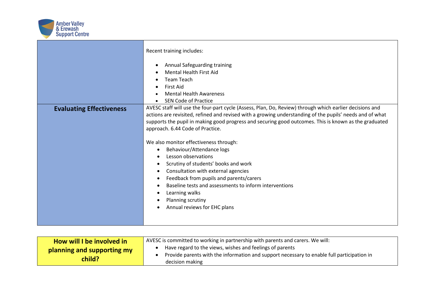

|                                 | Recent training includes:                                                                                                                                                                                                                                                                                                                                                                                                                                                                                                                                                                                                                                                                                                              |
|---------------------------------|----------------------------------------------------------------------------------------------------------------------------------------------------------------------------------------------------------------------------------------------------------------------------------------------------------------------------------------------------------------------------------------------------------------------------------------------------------------------------------------------------------------------------------------------------------------------------------------------------------------------------------------------------------------------------------------------------------------------------------------|
|                                 | Annual Safeguarding training<br>$\bullet$<br><b>Mental Health First Aid</b><br><b>Team Teach</b><br><b>First Aid</b><br><b>Mental Health Awareness</b><br><b>SEN Code of Practice</b>                                                                                                                                                                                                                                                                                                                                                                                                                                                                                                                                                  |
| <b>Evaluating Effectiveness</b> | AVESC staff will use the four-part cycle (Assess, Plan, Do, Review) through which earlier decisions and<br>actions are revisited, refined and revised with a growing understanding of the pupils' needs and of what<br>supports the pupil in making good progress and securing good outcomes. This is known as the graduated<br>approach. 6.44 Code of Practice.<br>We also monitor effectiveness through:<br>Behaviour/Attendance logs<br>$\bullet$<br>Lesson observations<br>Scrutiny of students' books and work<br>Consultation with external agencies<br>Feedback from pupils and parents/carers<br>Baseline tests and assessments to inform interventions<br>Learning walks<br>Planning scrutiny<br>Annual reviews for EHC plans |

| How will I be involved in            | AVESC is committed to working in partnership with parents and carers. We will:                                                                                            |
|--------------------------------------|---------------------------------------------------------------------------------------------------------------------------------------------------------------------------|
| planning and supporting my<br>child? | Have regard to the views, wishes and feelings of parents<br>Provide parents with the information and support necessary to enable full participation in<br>decision making |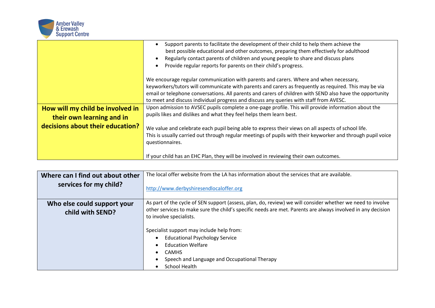

|                                                               | Support parents to facilitate the development of their child to help them achieve the<br>best possible educational and other outcomes, preparing them effectively for adulthood<br>Regularly contact parents of children and young people to share and discuss plans<br>Provide regular reports for parents on their child's progress.                                                               |
|---------------------------------------------------------------|------------------------------------------------------------------------------------------------------------------------------------------------------------------------------------------------------------------------------------------------------------------------------------------------------------------------------------------------------------------------------------------------------|
|                                                               | We encourage regular communication with parents and carers. Where and when necessary,<br>keyworkers/tutors will communicate with parents and carers as frequently as required. This may be via<br>email or telephone conversations. All parents and carers of children with SEND also have the opportunity<br>to meet and discuss individual progress and discuss any queries with staff from AVESC. |
| How will my child be involved in<br>their own learning and in | Upon admission to AVSEC pupils complete a one-page profile. This will provide information about the<br>pupils likes and dislikes and what they feel helps them learn best.                                                                                                                                                                                                                           |
| decisions about their education?                              | We value and celebrate each pupil being able to express their views on all aspects of school life.<br>This is usually carried out through regular meetings of pupils with their keyworker and through pupil voice<br>questionnaires.                                                                                                                                                                 |
|                                                               | If your child has an EHC Plan, they will be involved in reviewing their own outcomes.                                                                                                                                                                                                                                                                                                                |

| Where can I find out about other                | The local offer website from the LA has information about the services that are available.                                                                                                                                                                                                                                                                                                                                                                     |
|-------------------------------------------------|----------------------------------------------------------------------------------------------------------------------------------------------------------------------------------------------------------------------------------------------------------------------------------------------------------------------------------------------------------------------------------------------------------------------------------------------------------------|
| services for my child?                          | http://www.derbyshiresendlocaloffer.org                                                                                                                                                                                                                                                                                                                                                                                                                        |
| Who else could support your<br>child with SEND? | As part of the cycle of SEN support (assess, plan, do, review) we will consider whether we need to involve<br>other services to make sure the child's specific needs are met. Parents are always involved in any decision<br>to involve specialists.<br>Specialist support may include help from:<br><b>Educational Psychology Service</b><br><b>Education Welfare</b><br><b>CAMHS</b><br>Speech and Language and Occupational Therapy<br><b>School Health</b> |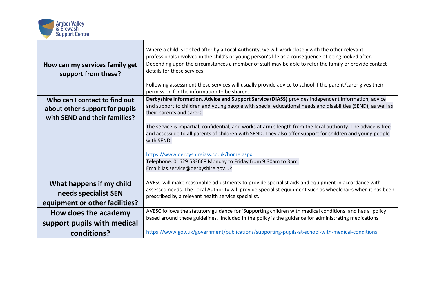

|                                | Where a child is looked after by a Local Authority, we will work closely with the other relevant               |
|--------------------------------|----------------------------------------------------------------------------------------------------------------|
|                                | professionals involved in the child's or young person's life as a consequence of being looked after.           |
| How can my services family get | Depending upon the circumstances a member of staff may be able to refer the family or provide contact          |
|                                | details for these services.                                                                                    |
| support from these?            |                                                                                                                |
|                                | Following assessment these services will usually provide advice to school if the parent/carer gives their      |
|                                | permission for the information to be shared.                                                                   |
| Who can I contact to find out  | Derbyshire Information, Advice and Support Service (DIASS) provides independent information, advice            |
|                                | and support to children and young people with special educational needs and disabilities (SEND), as well as    |
| about other support for pupils | their parents and carers.                                                                                      |
| with SEND and their families?  |                                                                                                                |
|                                | The service is impartial, confidential, and works at arm's length from the local authority. The advice is free |
|                                | and accessible to all parents of children with SEND. They also offer support for children and young people     |
|                                | with SEND.                                                                                                     |
|                                |                                                                                                                |
|                                | https://www.derbyshireiass.co.uk/home.aspx                                                                     |
|                                | Telephone: 01629 533668 Monday to Friday from 9:30am to 3pm.                                                   |
|                                | Email: ias.service@derbyshire.gov.uk                                                                           |
|                                |                                                                                                                |
| What happens if my child       | AVESC will make reasonable adjustments to provide specialist aids and equipment in accordance with             |
|                                | assessed needs. The Local Authority will provide specialist equipment such as wheelchairs when it has been     |
| needs specialist SEN           | prescribed by a relevant health service specialist.                                                            |
| equipment or other facilities? |                                                                                                                |
| How does the academy           | AVESC follows the statutory guidance for 'Supporting children with medical conditions' and has a policy        |
|                                | based around these guidelines. Included in the policy is the guidance for administrating medications           |
| support pupils with medical    |                                                                                                                |
| conditions?                    | https://www.gov.uk/government/publications/supporting-pupils-at-school-with-medical-conditions                 |